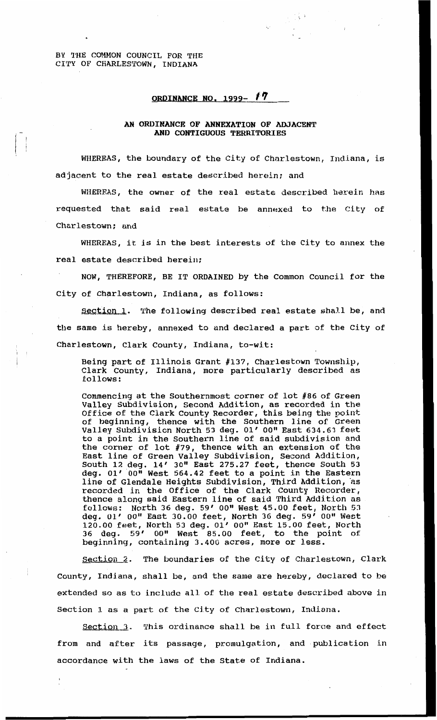BY **THE COMMON** COUNCIL FOR THE CITY **OF** CHARLESTOWN, INDIANA

## **ORDINANCE NO. 1999-** *17*

## *AN* **ordinance OF ANNEXATION OF ADJACENT AND CONTIGUOUS TERRITORIES**

WHEREAS, the boundary of the City of Charlestown, **Indiana is**  adjacent to the real estate described herein; and

**WHEREAS,** the owner of the real estate described herein has requested that said real estate he annexed to the City of Charlestown; and

WHEREAS, it **is** in the best interests of the City to annex the real estate described herein;

NOW, THEREFORE, BE IT ORDAINED by the Common Council for the City of Charlestown, Indiana, as follows:

Section 1. The following described real estate shall be, and the same **is** hereby, annexed to and declared a part of the City of Charlestown, Clark County, Indiana, to-wit:

Being part of Illinois Grant **#137,** Charlestown Township, Clark County, Indiana, more particularly described as follows

Commencing at the Southernmost corner of lot #86 of Green Valley Subdivision, Second Addition, as recorded in **the**  Office of the Clark County Recorder, this being the point of beginning, thence with the Southern line of Green Valley Subdivision North **53** dag. **01'** *OO"* **East 634.63** feet to **a** point in the Southern line of said subdivision **and**  the corner of lot **#79,** thence with an extension of the East line of Green Valley Subdivision, Second Addition, South 12 deg. **14' 30"** East **275.27** feet, thence South **53**  deg. **01'** *0O1l* West **564.42** feet to a point in the Eastern line of Glendale Heights Subdivision, Third Addition, **as**  recorded in the Office of the Clark County Recorder, thence along said Eastern line of said **Third** Addition **as follows:** North *36* deg. **59' OO"** West 45.00 feet, North *<sup>53</sup>* deg. **01' O0lt** East 30.00 feet, North **36** deg. **59' OO"** West **120.00 feet-,** North **53** deg. **01' 00"** East **15,OO** feet, North *36* deg, *53'* **OO"** West 85.00 feet, to the point *of*  beginning, containing 3.400 acres, more or **less.** 

Section **2.** The boundaries of the City **of** Charlestown, Clark County, Indiana, shall be, **and** the same are hereby, declared to he extended **so** as **to** include all of the real estate described above in Section **1** as a part of the City of Charlestown, Indiana.

Section **3.** This ordinance shall be in full force and effect from and after its passage, promulgation, and publication in accordance with the laws of the State of Indiana.